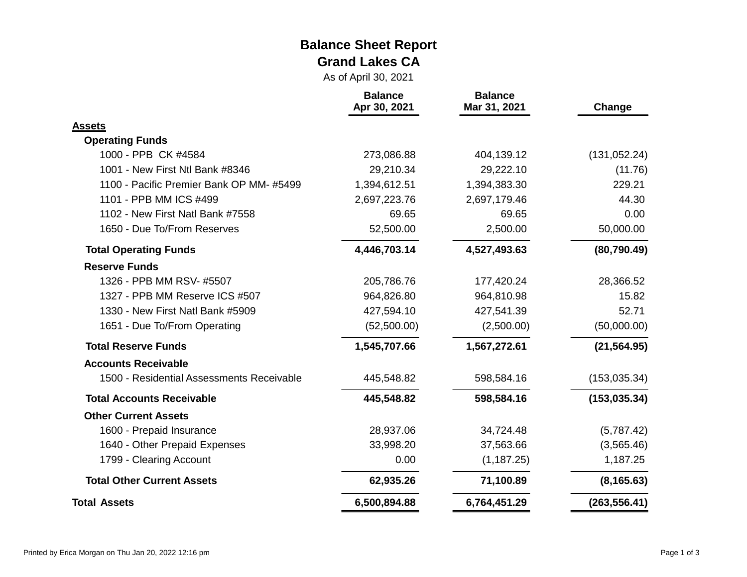#### **Balance Sheet Report Grand Lakes CA**

As of April 30, 2021

|                                           | <b>Balance</b><br>Apr 30, 2021 | <b>Balance</b><br>Mar 31, 2021 | Change        |
|-------------------------------------------|--------------------------------|--------------------------------|---------------|
| <b>Assets</b>                             |                                |                                |               |
| <b>Operating Funds</b>                    |                                |                                |               |
| 1000 - PPB CK #4584                       | 273,086.88                     | 404,139.12                     | (131, 052.24) |
| 1001 - New First Ntl Bank #8346           | 29,210.34                      | 29,222.10                      | (11.76)       |
| 1100 - Pacific Premier Bank OP MM-#5499   | 1,394,612.51                   | 1,394,383.30                   | 229.21        |
| 1101 - PPB MM ICS #499                    | 2,697,223.76                   | 2,697,179.46                   | 44.30         |
| 1102 - New First Natl Bank #7558          | 69.65                          | 69.65                          | 0.00          |
| 1650 - Due To/From Reserves               | 52,500.00                      | 2,500.00                       | 50,000.00     |
| <b>Total Operating Funds</b>              | 4,446,703.14                   | 4,527,493.63                   | (80, 790.49)  |
| <b>Reserve Funds</b>                      |                                |                                |               |
| 1326 - PPB MM RSV- #5507                  | 205,786.76                     | 177,420.24                     | 28,366.52     |
| 1327 - PPB MM Reserve ICS #507            | 964,826.80                     | 964,810.98                     | 15.82         |
| 1330 - New First Natl Bank #5909          | 427,594.10                     | 427,541.39                     | 52.71         |
| 1651 - Due To/From Operating              | (52,500.00)                    | (2,500.00)                     | (50,000.00)   |
| <b>Total Reserve Funds</b>                | 1,545,707.66                   | 1,567,272.61                   | (21, 564.95)  |
| <b>Accounts Receivable</b>                |                                |                                |               |
| 1500 - Residential Assessments Receivable | 445,548.82                     | 598,584.16                     | (153, 035.34) |
| <b>Total Accounts Receivable</b>          | 445,548.82                     | 598,584.16                     | (153, 035.34) |
| <b>Other Current Assets</b>               |                                |                                |               |
| 1600 - Prepaid Insurance                  | 28,937.06                      | 34,724.48                      | (5,787.42)    |
| 1640 - Other Prepaid Expenses             | 33,998.20                      | 37,563.66                      | (3,565.46)    |
| 1799 - Clearing Account                   | 0.00                           | (1, 187.25)                    | 1,187.25      |
| <b>Total Other Current Assets</b>         | 62,935.26                      | 71,100.89                      | (8, 165.63)   |
| <b>Total Assets</b>                       | 6,500,894.88                   | 6,764,451.29                   | (263, 556.41) |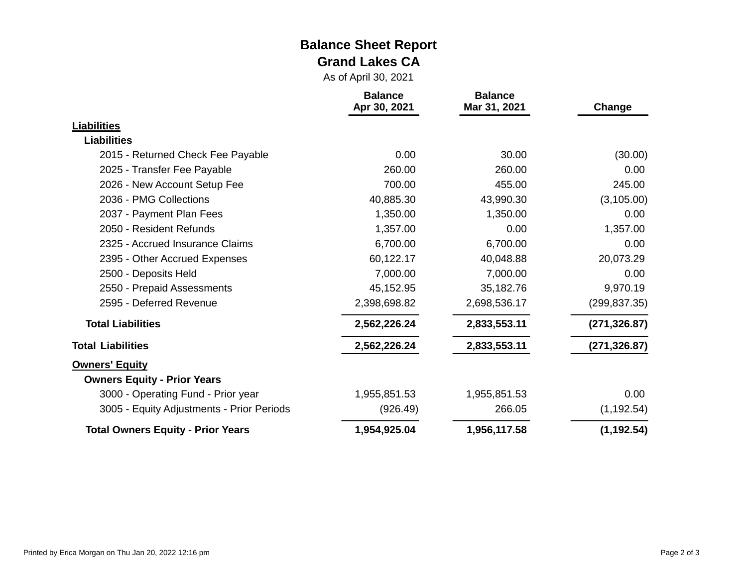#### **Balance Sheet Report Grand Lakes CA**

As of April 30, 2021

|                                           | <b>Balance</b><br>Apr 30, 2021 | <b>Balance</b><br>Mar 31, 2021 | Change        |
|-------------------------------------------|--------------------------------|--------------------------------|---------------|
| <b>Liabilities</b>                        |                                |                                |               |
| <b>Liabilities</b>                        |                                |                                |               |
| 2015 - Returned Check Fee Payable         | 0.00                           | 30.00                          | (30.00)       |
| 2025 - Transfer Fee Payable               | 260.00                         | 260.00                         | 0.00          |
| 2026 - New Account Setup Fee              | 700.00                         | 455.00                         | 245.00        |
| 2036 - PMG Collections                    | 40,885.30                      | 43,990.30                      | (3, 105.00)   |
| 2037 - Payment Plan Fees                  | 1,350.00                       | 1,350.00                       | 0.00          |
| 2050 - Resident Refunds                   | 1,357.00                       | 0.00                           | 1,357.00      |
| 2325 - Accrued Insurance Claims           | 6,700.00                       | 6,700.00                       | 0.00          |
| 2395 - Other Accrued Expenses             | 60,122.17                      | 40,048.88                      | 20,073.29     |
| 2500 - Deposits Held                      | 7,000.00                       | 7,000.00                       | 0.00          |
| 2550 - Prepaid Assessments                | 45,152.95                      | 35,182.76                      | 9,970.19      |
| 2595 - Deferred Revenue                   | 2,398,698.82                   | 2,698,536.17                   | (299, 837.35) |
| <b>Total Liabilities</b>                  | 2,562,226.24                   | 2,833,553.11                   | (271, 326.87) |
| <b>Total Liabilities</b>                  | 2,562,226.24                   | 2,833,553.11                   | (271, 326.87) |
| <b>Owners' Equity</b>                     |                                |                                |               |
| <b>Owners Equity - Prior Years</b>        |                                |                                |               |
| 3000 - Operating Fund - Prior year        | 1,955,851.53                   | 1,955,851.53                   | 0.00          |
| 3005 - Equity Adjustments - Prior Periods | (926.49)                       | 266.05                         | (1, 192.54)   |
| <b>Total Owners Equity - Prior Years</b>  | 1,954,925.04                   | 1,956,117.58                   | (1, 192.54)   |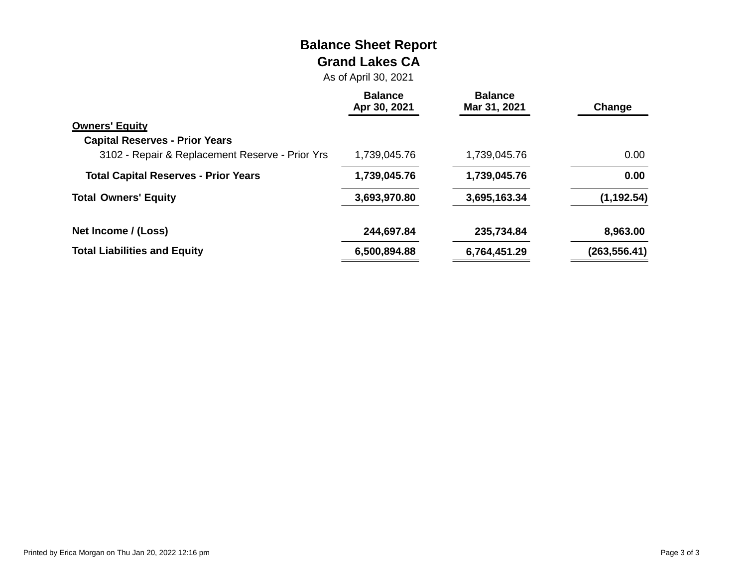# **Balance Sheet Report Grand Lakes CA**

As of April 30, 2021

|                                                 | <b>Balance</b><br>Apr 30, 2021 | <b>Balance</b><br>Mar 31, 2021 | Change        |
|-------------------------------------------------|--------------------------------|--------------------------------|---------------|
| <b>Owners' Equity</b>                           |                                |                                |               |
| <b>Capital Reserves - Prior Years</b>           |                                |                                |               |
| 3102 - Repair & Replacement Reserve - Prior Yrs | 1,739,045.76                   | 1,739,045.76                   | 0.00          |
| <b>Total Capital Reserves - Prior Years</b>     | 1,739,045.76                   | 1,739,045.76                   | 0.00          |
| <b>Total Owners' Equity</b>                     | 3,693,970.80                   | 3,695,163.34                   | (1, 192.54)   |
| Net Income / (Loss)                             | 244,697.84                     | 235,734.84                     | 8,963.00      |
| <b>Total Liabilities and Equity</b>             | 6,500,894.88                   | 6,764,451.29                   | (263, 556.41) |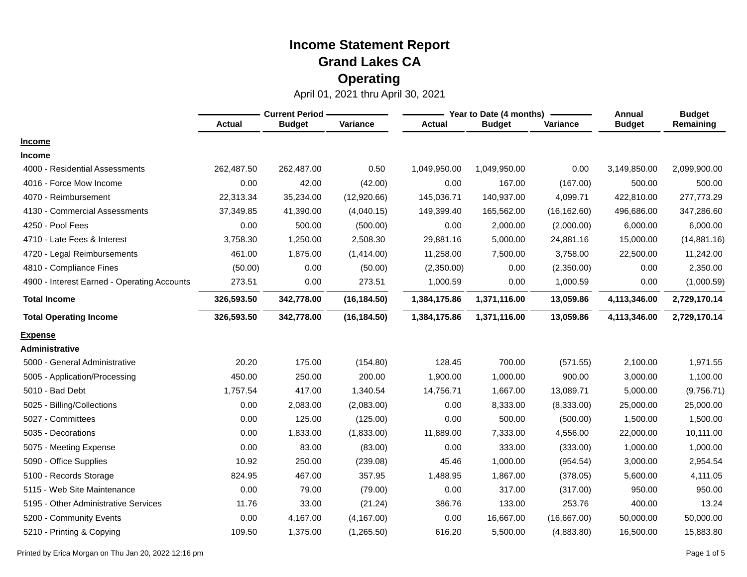|                                             | <b>Current Period -</b> |               |              |               | Year to Date (4 months) | <b>Annual</b> | <b>Budget</b> |              |
|---------------------------------------------|-------------------------|---------------|--------------|---------------|-------------------------|---------------|---------------|--------------|
|                                             | <b>Actual</b>           | <b>Budget</b> | Variance     | <b>Actual</b> | <b>Budget</b>           | Variance      | <b>Budget</b> | Remaining    |
| <b>Income</b>                               |                         |               |              |               |                         |               |               |              |
| <b>Income</b>                               |                         |               |              |               |                         |               |               |              |
| 4000 - Residential Assessments              | 262,487.50              | 262,487.00    | 0.50         | 1,049,950.00  | 1,049,950.00            | 0.00          | 3,149,850.00  | 2,099,900.00 |
| 4016 - Force Mow Income                     | 0.00                    | 42.00         | (42.00)      | 0.00          | 167.00                  | (167.00)      | 500.00        | 500.00       |
| 4070 - Reimbursement                        | 22,313.34               | 35,234.00     | (12,920.66)  | 145,036.71    | 140,937.00              | 4,099.71      | 422,810.00    | 277,773.29   |
| 4130 - Commercial Assessments               | 37,349.85               | 41,390.00     | (4,040.15)   | 149,399.40    | 165,562.00              | (16, 162.60)  | 496,686.00    | 347,286.60   |
| 4250 - Pool Fees                            | 0.00                    | 500.00        | (500.00)     | 0.00          | 2,000.00                | (2,000.00)    | 6,000.00      | 6,000.00     |
| 4710 - Late Fees & Interest                 | 3,758.30                | 1,250.00      | 2,508.30     | 29,881.16     | 5,000.00                | 24,881.16     | 15,000.00     | (14,881.16)  |
| 4720 - Legal Reimbursements                 | 461.00                  | 1,875.00      | (1,414.00)   | 11,258.00     | 7,500.00                | 3,758.00      | 22,500.00     | 11,242.00    |
| 4810 - Compliance Fines                     | (50.00)                 | 0.00          | (50.00)      | (2,350.00)    | 0.00                    | (2,350.00)    | 0.00          | 2,350.00     |
| 4900 - Interest Earned - Operating Accounts | 273.51                  | 0.00          | 273.51       | 1,000.59      | 0.00                    | 1,000.59      | 0.00          | (1,000.59)   |
| <b>Total Income</b>                         | 326,593.50              | 342,778.00    | (16, 184.50) | 1,384,175.86  | 1,371,116.00            | 13,059.86     | 4,113,346.00  | 2,729,170.14 |
| <b>Total Operating Income</b>               | 326,593.50              | 342,778.00    | (16, 184.50) | 1,384,175.86  | 1,371,116.00            | 13,059.86     | 4,113,346.00  | 2,729,170.14 |
| <b>Expense</b>                              |                         |               |              |               |                         |               |               |              |
| <b>Administrative</b>                       |                         |               |              |               |                         |               |               |              |
| 5000 - General Administrative               | 20.20                   | 175.00        | (154.80)     | 128.45        | 700.00                  | (571.55)      | 2,100.00      | 1,971.55     |
| 5005 - Application/Processing               | 450.00                  | 250.00        | 200.00       | 1,900.00      | 1,000.00                | 900.00        | 3,000.00      | 1,100.00     |
| 5010 - Bad Debt                             | 1,757.54                | 417.00        | 1,340.54     | 14,756.71     | 1,667.00                | 13,089.71     | 5,000.00      | (9,756.71)   |
| 5025 - Billing/Collections                  | 0.00                    | 2,083.00      | (2,083.00)   | 0.00          | 8,333.00                | (8,333.00)    | 25,000.00     | 25,000.00    |
| 5027 - Committees                           | 0.00                    | 125.00        | (125.00)     | 0.00          | 500.00                  | (500.00)      | 1,500.00      | 1,500.00     |
| 5035 - Decorations                          | 0.00                    | 1,833.00      | (1,833.00)   | 11,889.00     | 7,333.00                | 4,556.00      | 22,000.00     | 10,111.00    |
| 5075 - Meeting Expense                      | 0.00                    | 83.00         | (83.00)      | 0.00          | 333.00                  | (333.00)      | 1,000.00      | 1,000.00     |
| 5090 - Office Supplies                      | 10.92                   | 250.00        | (239.08)     | 45.46         | 1,000.00                | (954.54)      | 3,000.00      | 2,954.54     |
| 5100 - Records Storage                      | 824.95                  | 467.00        | 357.95       | 1,488.95      | 1,867.00                | (378.05)      | 5,600.00      | 4,111.05     |
| 5115 - Web Site Maintenance                 | 0.00                    | 79.00         | (79.00)      | 0.00          | 317.00                  | (317.00)      | 950.00        | 950.00       |
| 5195 - Other Administrative Services        | 11.76                   | 33.00         | (21.24)      | 386.76        | 133.00                  | 253.76        | 400.00        | 13.24        |
| 5200 - Community Events                     | 0.00                    | 4,167.00      | (4, 167.00)  | 0.00          | 16,667.00               | (16,667.00)   | 50,000.00     | 50,000.00    |
| 5210 - Printing & Copying                   | 109.50                  | 1,375.00      | (1,265.50)   | 616.20        | 5,500.00                | (4,883.80)    | 16,500.00     | 15,883.80    |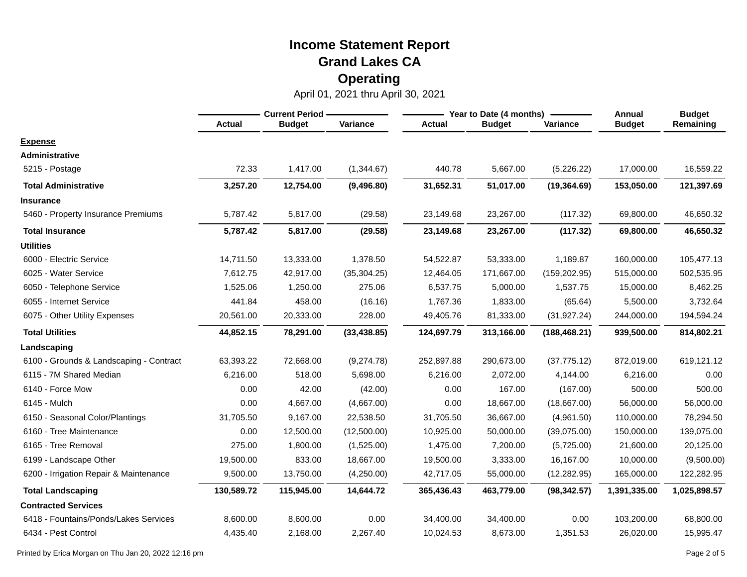April 01, 2021 thru April 30, 2021

|                                         | <b>Current Period -</b> |               |              |               | Year to Date (4 months) | Annual        | <b>Budget</b> |              |
|-----------------------------------------|-------------------------|---------------|--------------|---------------|-------------------------|---------------|---------------|--------------|
|                                         | <b>Actual</b>           | <b>Budget</b> | Variance     | <b>Actual</b> | <b>Budget</b>           | Variance      | <b>Budget</b> | Remaining    |
| <b>Expense</b>                          |                         |               |              |               |                         |               |               |              |
| <b>Administrative</b>                   |                         |               |              |               |                         |               |               |              |
| 5215 - Postage                          | 72.33                   | 1,417.00      | (1,344.67)   | 440.78        | 5,667.00                | (5,226.22)    | 17,000.00     | 16,559.22    |
| <b>Total Administrative</b>             | 3,257.20                | 12,754.00     | (9,496.80)   | 31,652.31     | 51,017.00               | (19, 364.69)  | 153,050.00    | 121,397.69   |
| <b>Insurance</b>                        |                         |               |              |               |                         |               |               |              |
| 5460 - Property Insurance Premiums      | 5,787.42                | 5,817.00      | (29.58)      | 23,149.68     | 23,267.00               | (117.32)      | 69,800.00     | 46,650.32    |
| <b>Total Insurance</b>                  | 5,787.42                | 5,817.00      | (29.58)      | 23,149.68     | 23,267.00               | (117.32)      | 69,800.00     | 46,650.32    |
| <b>Utilities</b>                        |                         |               |              |               |                         |               |               |              |
| 6000 - Electric Service                 | 14,711.50               | 13,333.00     | 1,378.50     | 54,522.87     | 53,333.00               | 1,189.87      | 160,000.00    | 105,477.13   |
| 6025 - Water Service                    | 7,612.75                | 42,917.00     | (35, 304.25) | 12,464.05     | 171,667.00              | (159, 202.95) | 515,000.00    | 502,535.95   |
| 6050 - Telephone Service                | 1,525.06                | 1,250.00      | 275.06       | 6,537.75      | 5,000.00                | 1,537.75      | 15,000.00     | 8,462.25     |
| 6055 - Internet Service                 | 441.84                  | 458.00        | (16.16)      | 1,767.36      | 1,833.00                | (65.64)       | 5,500.00      | 3,732.64     |
| 6075 - Other Utility Expenses           | 20,561.00               | 20,333.00     | 228.00       | 49,405.76     | 81,333.00               | (31, 927.24)  | 244,000.00    | 194,594.24   |
| <b>Total Utilities</b>                  | 44,852.15               | 78,291.00     | (33, 438.85) | 124,697.79    | 313,166.00              | (188, 468.21) | 939,500.00    | 814,802.21   |
| Landscaping                             |                         |               |              |               |                         |               |               |              |
| 6100 - Grounds & Landscaping - Contract | 63,393.22               | 72,668.00     | (9,274.78)   | 252,897.88    | 290,673.00              | (37, 775.12)  | 872,019.00    | 619,121.12   |
| 6115 - 7M Shared Median                 | 6,216.00                | 518.00        | 5,698.00     | 6,216.00      | 2,072.00                | 4,144.00      | 6,216.00      | 0.00         |
| 6140 - Force Mow                        | 0.00                    | 42.00         | (42.00)      | 0.00          | 167.00                  | (167.00)      | 500.00        | 500.00       |
| 6145 - Mulch                            | 0.00                    | 4,667.00      | (4,667.00)   | 0.00          | 18,667.00               | (18,667.00)   | 56,000.00     | 56,000.00    |
| 6150 - Seasonal Color/Plantings         | 31,705.50               | 9,167.00      | 22,538.50    | 31,705.50     | 36,667.00               | (4,961.50)    | 110,000.00    | 78,294.50    |
| 6160 - Tree Maintenance                 | 0.00                    | 12,500.00     | (12,500.00)  | 10,925.00     | 50,000.00               | (39,075.00)   | 150,000.00    | 139,075.00   |
| 6165 - Tree Removal                     | 275.00                  | 1,800.00      | (1,525.00)   | 1,475.00      | 7,200.00                | (5,725.00)    | 21,600.00     | 20,125.00    |
| 6199 - Landscape Other                  | 19,500.00               | 833.00        | 18,667.00    | 19,500.00     | 3,333.00                | 16,167.00     | 10,000.00     | (9,500.00)   |
| 6200 - Irrigation Repair & Maintenance  | 9,500.00                | 13,750.00     | (4,250.00)   | 42,717.05     | 55,000.00               | (12, 282.95)  | 165,000.00    | 122,282.95   |
| <b>Total Landscaping</b>                | 130,589.72              | 115,945.00    | 14,644.72    | 365,436.43    | 463,779.00              | (98, 342.57)  | 1,391,335.00  | 1,025,898.57 |
| <b>Contracted Services</b>              |                         |               |              |               |                         |               |               |              |
| 6418 - Fountains/Ponds/Lakes Services   | 8,600.00                | 8,600.00      | 0.00         | 34,400.00     | 34,400.00               | 0.00          | 103,200.00    | 68,800.00    |
| 6434 - Pest Control                     | 4,435.40                | 2,168.00      | 2,267.40     | 10,024.53     | 8,673.00                | 1,351.53      | 26,020.00     | 15,995.47    |

Printed by Erica Morgan on Thu Jan 20, 2022 12:16 pm Page 2 of 5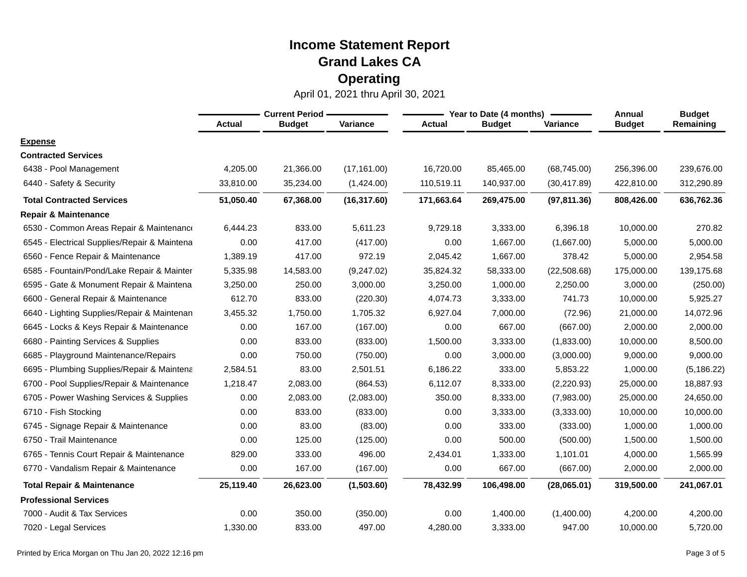|                                              | <b>Current Period</b> |               |              |               | Year to Date (4 months) | Annual       | <b>Budget</b> |             |
|----------------------------------------------|-----------------------|---------------|--------------|---------------|-------------------------|--------------|---------------|-------------|
|                                              | <b>Actual</b>         | <b>Budget</b> | Variance     | <b>Actual</b> | <b>Budget</b>           | Variance     | <b>Budget</b> | Remaining   |
| <b>Expense</b>                               |                       |               |              |               |                         |              |               |             |
| <b>Contracted Services</b>                   |                       |               |              |               |                         |              |               |             |
| 6438 - Pool Management                       | 4,205.00              | 21,366.00     | (17, 161.00) | 16,720.00     | 85,465.00               | (68, 745.00) | 256,396.00    | 239,676.00  |
| 6440 - Safety & Security                     | 33,810.00             | 35,234.00     | (1,424.00)   | 110,519.11    | 140,937.00              | (30, 417.89) | 422,810.00    | 312,290.89  |
| <b>Total Contracted Services</b>             | 51,050.40             | 67,368.00     | (16, 317.60) | 171,663.64    | 269,475.00              | (97, 811.36) | 808,426.00    | 636,762.36  |
| <b>Repair &amp; Maintenance</b>              |                       |               |              |               |                         |              |               |             |
| 6530 - Common Areas Repair & Maintenance     | 6,444.23              | 833.00        | 5,611.23     | 9,729.18      | 3,333.00                | 6,396.18     | 10,000.00     | 270.82      |
| 6545 - Electrical Supplies/Repair & Maintena | 0.00                  | 417.00        | (417.00)     | 0.00          | 1,667.00                | (1,667.00)   | 5,000.00      | 5,000.00    |
| 6560 - Fence Repair & Maintenance            | 1,389.19              | 417.00        | 972.19       | 2,045.42      | 1,667.00                | 378.42       | 5,000.00      | 2,954.58    |
| 6585 - Fountain/Pond/Lake Repair & Mainter   | 5,335.98              | 14,583.00     | (9,247.02)   | 35,824.32     | 58,333.00               | (22,508.68)  | 175,000.00    | 139,175.68  |
| 6595 - Gate & Monument Repair & Maintena     | 3,250.00              | 250.00        | 3,000.00     | 3,250.00      | 1,000.00                | 2,250.00     | 3,000.00      | (250.00)    |
| 6600 - General Repair & Maintenance          | 612.70                | 833.00        | (220.30)     | 4,074.73      | 3,333.00                | 741.73       | 10,000.00     | 5,925.27    |
| 6640 - Lighting Supplies/Repair & Maintenan  | 3,455.32              | 1,750.00      | 1,705.32     | 6,927.04      | 7,000.00                | (72.96)      | 21,000.00     | 14,072.96   |
| 6645 - Locks & Keys Repair & Maintenance     | 0.00                  | 167.00        | (167.00)     | 0.00          | 667.00                  | (667.00)     | 2,000.00      | 2,000.00    |
| 6680 - Painting Services & Supplies          | 0.00                  | 833.00        | (833.00)     | 1,500.00      | 3,333.00                | (1,833.00)   | 10,000.00     | 8,500.00    |
| 6685 - Playground Maintenance/Repairs        | 0.00                  | 750.00        | (750.00)     | 0.00          | 3,000.00                | (3,000.00)   | 9,000.00      | 9,000.00    |
| 6695 - Plumbing Supplies/Repair & Maintena   | 2,584.51              | 83.00         | 2,501.51     | 6,186.22      | 333.00                  | 5,853.22     | 1,000.00      | (5, 186.22) |
| 6700 - Pool Supplies/Repair & Maintenance    | 1,218.47              | 2,083.00      | (864.53)     | 6,112.07      | 8,333.00                | (2,220.93)   | 25,000.00     | 18,887.93   |
| 6705 - Power Washing Services & Supplies     | 0.00                  | 2,083.00      | (2,083.00)   | 350.00        | 8,333.00                | (7,983.00)   | 25,000.00     | 24,650.00   |
| 6710 - Fish Stocking                         | 0.00                  | 833.00        | (833.00)     | 0.00          | 3,333.00                | (3,333.00)   | 10,000.00     | 10,000.00   |
| - Signage Repair & Maintenance<br>6745       | 0.00                  | 83.00         | (83.00)      | 0.00          | 333.00                  | (333.00)     | 1,000.00      | 1,000.00    |
| 6750 - Trail Maintenance                     | 0.00                  | 125.00        | (125.00)     | 0.00          | 500.00                  | (500.00)     | 1,500.00      | 1,500.00    |
| 6765 - Tennis Court Repair & Maintenance     | 829.00                | 333.00        | 496.00       | 2,434.01      | 1,333.00                | 1,101.01     | 4,000.00      | 1,565.99    |
| 6770 - Vandalism Repair & Maintenance        | 0.00                  | 167.00        | (167.00)     | 0.00          | 667.00                  | (667.00)     | 2,000.00      | 2,000.00    |
| <b>Total Repair &amp; Maintenance</b>        | 25,119.40             | 26,623.00     | (1,503.60)   | 78,432.99     | 106,498.00              | (28,065.01)  | 319,500.00    | 241,067.01  |
| <b>Professional Services</b>                 |                       |               |              |               |                         |              |               |             |
| 7000 - Audit & Tax Services                  | 0.00                  | 350.00        | (350.00)     | 0.00          | 1,400.00                | (1,400.00)   | 4,200.00      | 4,200.00    |
| 7020 - Legal Services                        | 1,330.00              | 833.00        | 497.00       | 4,280.00      | 3,333.00                | 947.00       | 10,000.00     | 5,720.00    |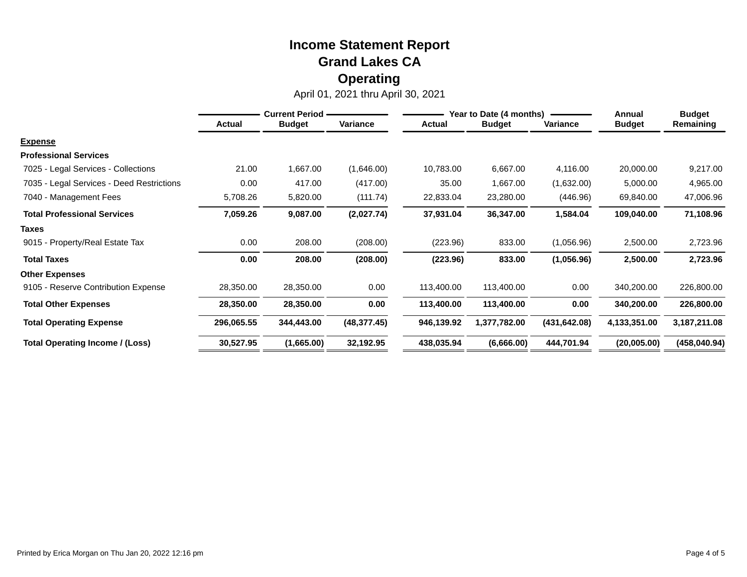|                                           | <b>Current Period -</b> |               |              |               | Year to Date (4 months) | Annual        | <b>Budget</b> |                |
|-------------------------------------------|-------------------------|---------------|--------------|---------------|-------------------------|---------------|---------------|----------------|
|                                           | <b>Actual</b>           | <b>Budget</b> | Variance     | <b>Actual</b> | <b>Budget</b>           | Variance      | <b>Budget</b> | Remaining      |
| <b>Expense</b>                            |                         |               |              |               |                         |               |               |                |
| <b>Professional Services</b>              |                         |               |              |               |                         |               |               |                |
| 7025 - Legal Services - Collections       | 21.00                   | 1,667.00      | (1,646.00)   | 10,783.00     | 6,667.00                | 4,116.00      | 20,000.00     | 9,217.00       |
| 7035 - Legal Services - Deed Restrictions | 0.00                    | 417.00        | (417.00)     | 35.00         | 1,667.00                | (1,632.00)    | 5,000.00      | 4,965.00       |
| 7040 - Management Fees                    | 5,708.26                | 5,820.00      | (111.74)     | 22,833.04     | 23,280.00               | (446.96)      | 69,840.00     | 47,006.96      |
| <b>Total Professional Services</b>        | 7,059.26                | 9,087.00      | (2,027.74)   | 37,931.04     | 36,347.00               | 1,584.04      | 109,040.00    | 71,108.96      |
| Taxes                                     |                         |               |              |               |                         |               |               |                |
| 9015 - Property/Real Estate Tax           | 0.00                    | 208.00        | (208.00)     | (223.96)      | 833.00                  | (1,056.96)    | 2,500.00      | 2,723.96       |
| <b>Total Taxes</b>                        | 0.00                    | 208.00        | (208.00)     | (223.96)      | 833.00                  | (1,056.96)    | 2,500.00      | 2,723.96       |
| <b>Other Expenses</b>                     |                         |               |              |               |                         |               |               |                |
| 9105 - Reserve Contribution Expense       | 28,350.00               | 28,350.00     | 0.00         | 113,400.00    | 113,400.00              | 0.00          | 340,200.00    | 226,800.00     |
| <b>Total Other Expenses</b>               | 28,350.00               | 28,350.00     | 0.00         | 113,400.00    | 113,400.00              | 0.00          | 340,200.00    | 226,800.00     |
| <b>Total Operating Expense</b>            | 296,065.55              | 344,443.00    | (48, 377.45) | 946,139.92    | 1,377,782.00            | (431, 642.08) | 4,133,351.00  | 3, 187, 211.08 |
| Total Operating Income / (Loss)           | 30,527.95               | (1,665.00)    | 32,192.95    | 438,035.94    | (6,666.00)              | 444,701.94    | (20,005.00)   | (458, 040.94)  |